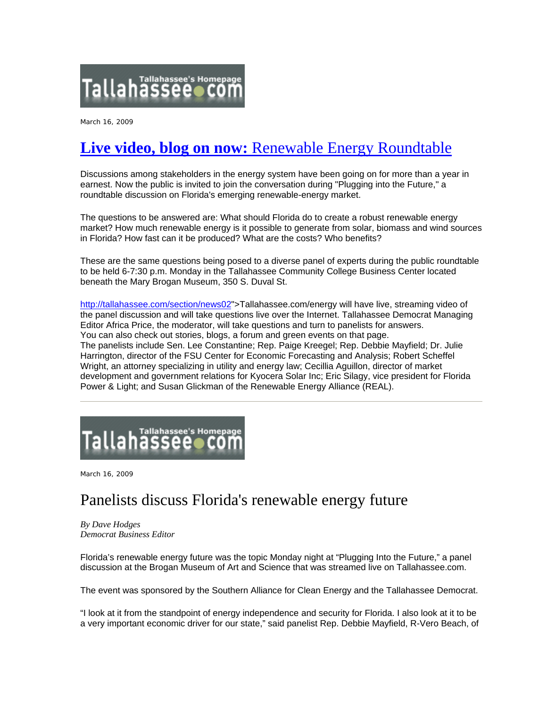

March 16, 2009

# **Live video, blog on now:** [Renewable Energy Roundtable](http://tallahassee.com/section/news02&template=live)

Discussions among stakeholders in the energy system have been going on for more than a year in earnest. Now the public is invited to join the conversation during "Plugging into the Future," a roundtable discussion on Florida's emerging renewable-energy market.

The questions to be answered are: What should Florida do to create a robust renewable energy market? How much renewable energy is it possible to generate from solar, biomass and wind sources in Florida? How fast can it be produced? What are the costs? Who benefits?

These are the same questions being posed to a diverse panel of experts during the public roundtable to be held 6-7:30 p.m. Monday in the Tallahassee Community College Business Center located beneath the Mary Brogan Museum, 350 S. Duval St.

[http://tallahassee.com/section/news02"](http://www.tallahassee.com/apps/pbcs.dll/%3ca%20href=)>Tallahassee.com/energy will have live, streaming video of the panel discussion and will take questions live over the Internet. Tallahassee Democrat Managing Editor Africa Price, the moderator, will take questions and turn to panelists for answers. You can also check out stories, blogs, a forum and green events on that page. The panelists include Sen. Lee Constantine; Rep. Paige Kreegel; Rep. Debbie Mayfield; Dr. Julie Harrington, director of the FSU Center for Economic Forecasting and Analysis; Robert Scheffel Wright, an attorney specializing in utility and energy law; Cecillia Aguillon, director of market development and government relations for Kyocera Solar Inc; Eric Silagy, vice president for Florida Power & Light; and Susan Glickman of the Renewable Energy Alliance (REAL).



March 16, 2009

## Panelists discuss Florida's renewable energy future

*By Dave Hodges Democrat Business Editor*

Florida's renewable energy future was the topic Monday night at "Plugging Into the Future," a panel discussion at the Brogan Museum of Art and Science that was streamed live on Tallahassee.com.

The event was sponsored by the Southern Alliance for Clean Energy and the Tallahassee Democrat.

"I look at it from the standpoint of energy independence and security for Florida. I also look at it to be a very important economic driver for our state," said panelist Rep. Debbie Mayfield, R-Vero Beach, of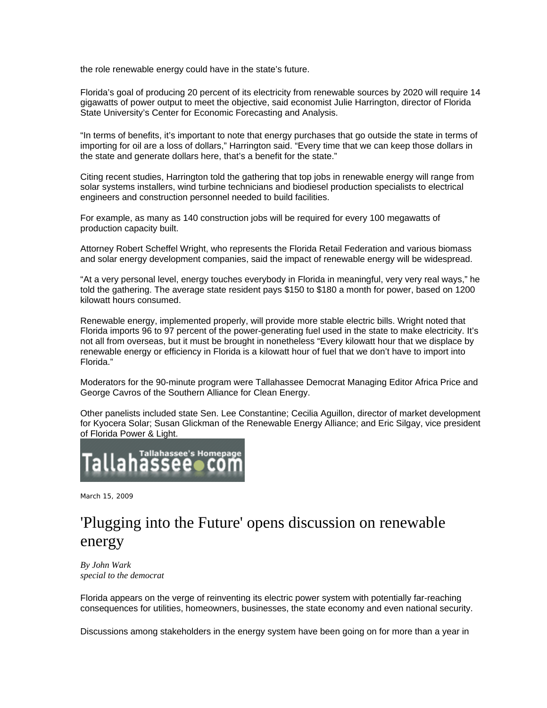the role renewable energy could have in the state's future.

Florida's goal of producing 20 percent of its electricity from renewable sources by 2020 will require 14 gigawatts of power output to meet the objective, said economist Julie Harrington, director of Florida State University's Center for Economic Forecasting and Analysis.

"In terms of benefits, it's important to note that energy purchases that go outside the state in terms of importing for oil are a loss of dollars," Harrington said. "Every time that we can keep those dollars in the state and generate dollars here, that's a benefit for the state."

Citing recent studies, Harrington told the gathering that top jobs in renewable energy will range from solar systems installers, wind turbine technicians and biodiesel production specialists to electrical engineers and construction personnel needed to build facilities.

For example, as many as 140 construction jobs will be required for every 100 megawatts of production capacity built.

Attorney Robert Scheffel Wright, who represents the Florida Retail Federation and various biomass and solar energy development companies, said the impact of renewable energy will be widespread.

"At a very personal level, energy touches everybody in Florida in meaningful, very very real ways," he told the gathering. The average state resident pays \$150 to \$180 a month for power, based on 1200 kilowatt hours consumed.

Renewable energy, implemented properly, will provide more stable electric bills. Wright noted that Florida imports 96 to 97 percent of the power-generating fuel used in the state to make electricity. It's not all from overseas, but it must be brought in nonetheless "Every kilowatt hour that we displace by renewable energy or efficiency in Florida is a kilowatt hour of fuel that we don't have to import into Florida."

Moderators for the 90-minute program were Tallahassee Democrat Managing Editor Africa Price and George Cavros of the Southern Alliance for Clean Energy.

Other panelists included state Sen. Lee Constantine; Cecilia Aguillon, director of market development for Kyocera Solar; Susan Glickman of the Renewable Energy Alliance; and Eric Silgay, vice president of Florida Power & Light.



March 15, 2009

## 'Plugging into the Future' opens discussion on renewable energy

*By John Wark special to the democrat*

Florida appears on the verge of reinventing its electric power system with potentially far-reaching consequences for utilities, homeowners, businesses, the state economy and even national security.

Discussions among stakeholders in the energy system have been going on for more than a year in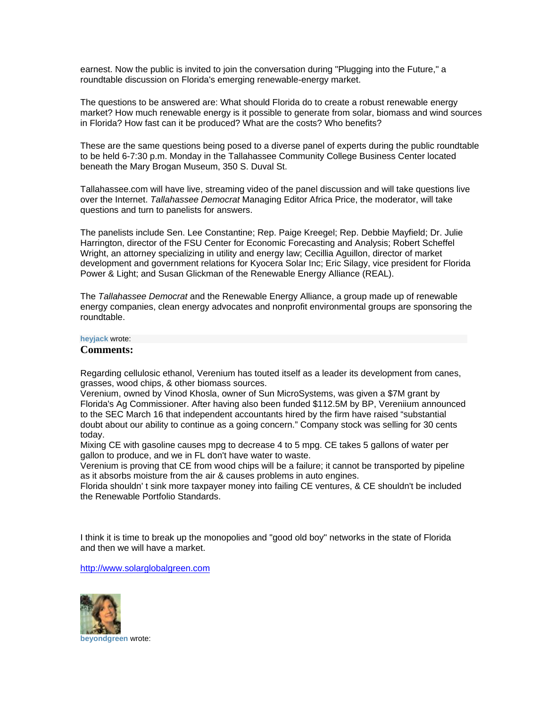earnest. Now the public is invited to join the conversation during "Plugging into the Future," a roundtable discussion on Florida's emerging renewable-energy market.

The questions to be answered are: What should Florida do to create a robust renewable energy market? How much renewable energy is it possible to generate from solar, biomass and wind sources in Florida? How fast can it be produced? What are the costs? Who benefits?

These are the same questions being posed to a diverse panel of experts during the public roundtable to be held 6-7:30 p.m. Monday in the Tallahassee Community College Business Center located beneath the Mary Brogan Museum, 350 S. Duval St.

Tallahassee.com will have live, streaming video of the panel discussion and will take questions live over the Internet. *Tallahassee Democrat* Managing Editor Africa Price, the moderator, will take questions and turn to panelists for answers.

The panelists include Sen. Lee Constantine; Rep. Paige Kreegel; Rep. Debbie Mayfield; Dr. Julie Harrington, director of the FSU Center for Economic Forecasting and Analysis; Robert Scheffel Wright, an attorney specializing in utility and energy law; Cecillia Aguillon, director of market development and government relations for Kyocera Solar Inc; Eric Silagy, vice president for Florida Power & Light; and Susan Glickman of the Renewable Energy Alliance (REAL).

The *Tallahassee Democrat* and the Renewable Energy Alliance, a group made up of renewable energy companies, clean energy advocates and nonprofit environmental groups are sponsoring the roundtable.

### **heyjack** [wrote:](http://www.tallahassee.com/apps/pbcs.dll/section?category=pluckpersona&U=2f1cb055b0824fe39749973df29642a9)

#### **Comments:**

Regarding cellulosic ethanol, Verenium has touted itself as a leader its development from canes, grasses, wood chips, & other biomass sources.

Verenium, owned by Vinod Khosla, owner of Sun MicroSystems, was given a \$7M grant by Florida's Ag Commissioner. After having also been funded \$112.5M by BP, Vereniium announced to the SEC March 16 that independent accountants hired by the firm have raised "substantial doubt about our ability to continue as a going concern." Company stock was selling for 30 cents today.

Mixing CE with gasoline causes mpg to decrease 4 to 5 mpg. CE takes 5 gallons of water per gallon to produce, and we in FL don't have water to waste.

Verenium is proving that CE from wood chips will be a failure; it cannot be transported by pipeline as it absorbs moisture from the air & causes problems in auto engines.

Florida shouldn' t sink more taxpayer money into failing CE ventures, & CE shouldn't be included the Renewable Portfolio Standards.

I think it is time to break up the monopolies and "good old boy" networks in the state of Florida and then we will have a market.

[http://www.solarglobalgreen.com](http://www.solarglobalgreen.com/)

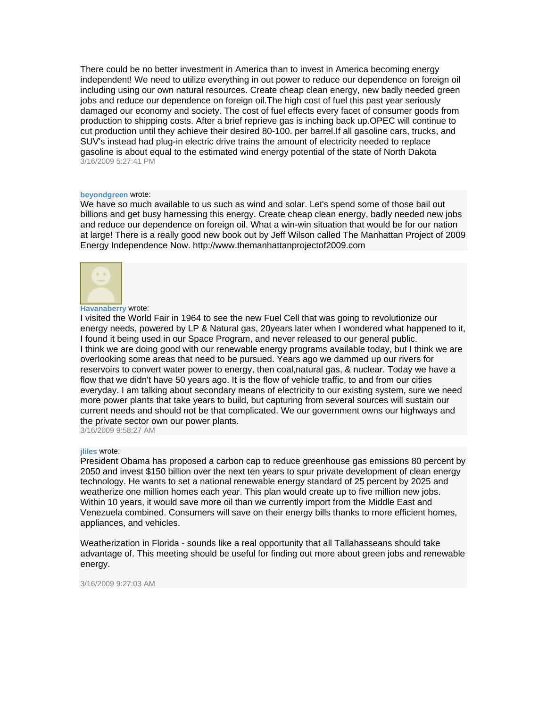There could be no better investment in America than to invest in America becoming energy independent! We need to utilize everything in out power to reduce our dependence on foreign oil including using our own natural resources. Create cheap clean energy, new badly needed green jobs and reduce our dependence on foreign oil.The high cost of fuel this past year seriously damaged our economy and society. The cost of fuel effects every facet of consumer goods from production to shipping costs. After a brief reprieve gas is inching back up.OPEC will continue to cut production until they achieve their desired 80-100. per barrel.If all gasoline cars, trucks, and SUV's instead had plug-in electric drive trains the amount of electricity needed to replace gasoline is about equal to the estimated wind energy potential of the state of North Dakota 3/16/2009 5:27:41 PM

#### **beyondgreen** [wrote:](http://www.tallahassee.com/apps/pbcs.dll/section?category=pluckpersona&U=b4cd3051159341e992fced3ef0492aa1)

We have so much available to us such as wind and solar. Let's spend some of those bail out billions and get busy harnessing this energy. Create cheap clean energy, badly needed new jobs and reduce our dependence on foreign oil. What a win-win situation that would be for our nation at large! There is a really good new book out by Jeff Wilson called The Manhattan Project of 2009 Energy Independence Now. http://www.themanhattanprojectof2009.com



#### **[Havanaberry](http://www.tallahassee.com/apps/pbcs.dll/section?category=pluckpersona&U=ae1db785691a4d779e9fbde3d53b73ff)** wrote:

I visited the World Fair in 1964 to see the new Fuel Cell that was going to revolutionize our energy needs, powered by LP & Natural gas, 20years later when I wondered what happened to it, I found it being used in our Space Program, and never released to our general public. I think we are doing good with our renewable energy programs available today, but I think we are overlooking some areas that need to be pursued. Years ago we dammed up our rivers for reservoirs to convert water power to energy, then coal,natural gas, & nuclear. Today we have a flow that we didn't have 50 years ago. It is the flow of vehicle traffic, to and from our cities everyday. I am talking about secondary means of electricity to our existing system, sure we need more power plants that take years to build, but capturing from several sources will sustain our current needs and should not be that complicated. We our government owns our highways and the private sector own our power plants. 3/16/2009 9:58:27 AM

#### **jliles** [wrote:](http://www.tallahassee.com/apps/pbcs.dll/section?category=pluckpersona&U=290f7fb1712a45628ba2c008ff56a14a)

President Obama has proposed a carbon cap to reduce greenhouse gas emissions 80 percent by 2050 and invest \$150 billion over the next ten years to spur private development of clean energy technology. He wants to set a national renewable energy standard of 25 percent by 2025 and weatherize one million homes each year. This plan would create up to five million new jobs. Within 10 years, it would save more oil than we currently import from the Middle East and Venezuela combined. Consumers will save on their energy bills thanks to more efficient homes, appliances, and vehicles.

Weatherization in Florida - sounds like a real opportunity that all Tallahasseans should take advantage of. This meeting should be useful for finding out more about green jobs and renewable energy.

3/16/2009 9:27:03 AM